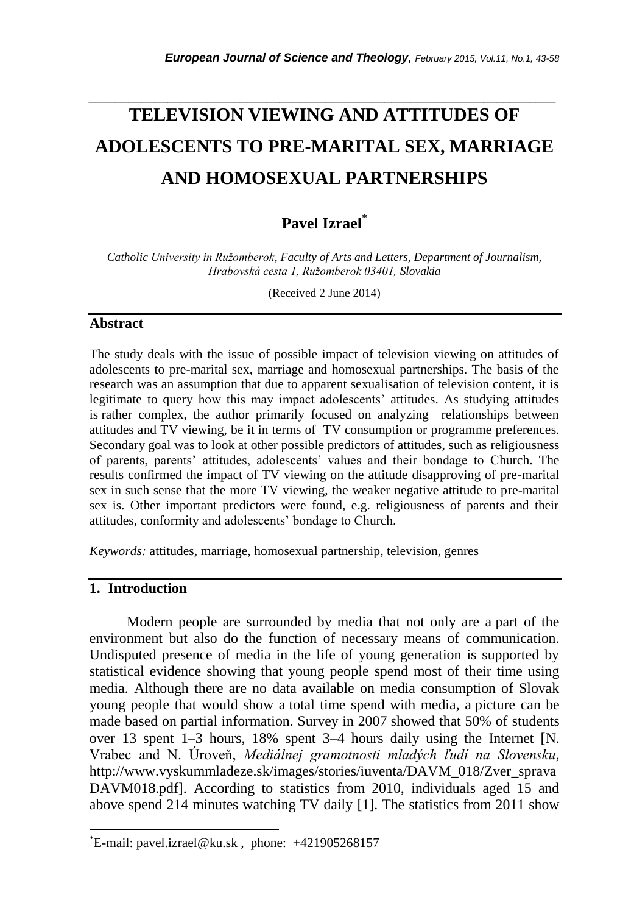# **TELEVISION VIEWING AND ATTITUDES OF ADOLESCENTS TO PRE-MARITAL SEX, MARRIAGE AND HOMOSEXUAL PARTNERSHIPS**

*\_\_\_\_\_\_\_\_\_\_\_\_\_\_\_\_\_\_\_\_\_\_\_\_\_\_\_\_\_\_\_\_\_\_\_\_\_\_\_\_\_\_\_\_\_\_\_\_\_\_\_\_\_\_\_\_\_\_\_\_\_\_\_\_\_\_\_\_\_\_\_*

## **Pavel Izrael**\*

*Catholic University in Ružomberok, Faculty of Arts and Letters, Department of Journalism, Hrabovská cesta 1, Ružomberok 03401, Slovakia*

(Received 2 June 2014)

## **Abstract**

The study deals with the issue of possible impact of television viewing on attitudes of adolescents to pre-marital sex, marriage and homosexual partnerships. The basis of the research was an assumption that due to apparent sexualisation of television content, it is legitimate to query how this may impact adolescents' attitudes. As studying attitudes is rather complex, the author primarily focused on analyzing relationships between attitudes and TV viewing, be it in terms of TV consumption or programme preferences. Secondary goal was to look at other possible predictors of attitudes, such as religiousness of parents, parents' attitudes, adolescents' values and their bondage to Church. The results confirmed the impact of TV viewing on the attitude disapproving of pre-marital sex in such sense that the more TV viewing, the weaker negative attitude to pre-marital sex is. Other important predictors were found, e.g. religiousness of parents and their attitudes, conformity and adolescents' bondage to Church.

*Keywords:* attitudes, marriage, homosexual partnership, television, genres

## **1. Introduction**

l

Modern people are surrounded by media that not only are a part of the environment but also do the function of necessary means of communication. Undisputed presence of media in the life of young generation is supported by statistical evidence showing that young people spend most of their time using media. Although there are no data available on media consumption of Slovak young people that would show a total time spend with media, a picture can be made based on partial information. Survey in 2007 showed that 50% of students over 13 spent 1–3 hours, 18% spent 3–4 hours daily using the Internet [N. Vrabec and N. Úroveň, *Mediálnej gramotnosti mladých ľudí na Slovensku*, http://www.vyskummladeze.sk/images/stories/iuventa/DAVM\_018/Zver\_sprava DAVM018.pdf]. According to statistics from 2010, individuals aged 15 and above spend 214 minutes watching TV daily [1]. The statistics from 2011 show

 $E$ -mail: pavel.izrael@ku.sk, phone:  $+421905268157$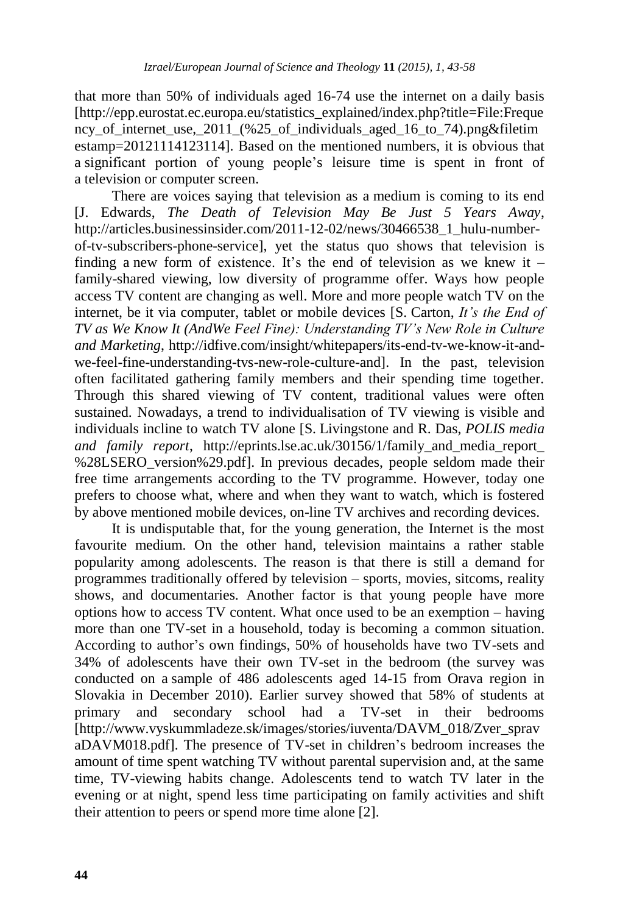that more than 50% of individuals aged 16-74 use the internet on a daily basis [http://epp.eurostat.ec.europa.eu/statistics\_explained/index.php?title=File:Freque ncy of internet use, 2011 (%25 of individuals aged 16 to 74).png&filetim estamp=20121114123114]. Based on the mentioned numbers, it is obvious that a significant portion of young people's leisure time is spent in front of a television or computer screen.

There are voices saying that television as a medium is coming to its end [J. Edwards, *The Death of Television May Be Just 5 Years Away*, [http://articles.businessinsider.com/2011-12-02/news/30466538\\_1\\_hulu-number](http://articles.businessinsider.com/2011-12-02/news/30466538_1_hulu-number-of-tv-subscribers-phone-service)[of-tv-subscribers-phone-service\]](http://articles.businessinsider.com/2011-12-02/news/30466538_1_hulu-number-of-tv-subscribers-phone-service), yet the status quo shows that television is finding a new form of existence. It's the end of television as we knew it  $$ family-shared viewing, low diversity of programme offer. Ways how people access TV content are changing as well. More and more people watch TV on the internet, be it via computer, tablet or mobile devices [S. Carton, *It's the End of TV as We Know It (AndWe Feel Fine): Understanding TV's New Role in Culture and Marketing*, [http://idfive.com/insight/whitepapers/its-end-tv-we-know-it-and](http://idfive.com/insight/whitepapers/its-end-tv-we-know-it-and-we-feel-fine-understanding-tvs-new-role-culture-and)[we-feel-fine-understanding-tvs-new-role-culture-and\]](http://idfive.com/insight/whitepapers/its-end-tv-we-know-it-and-we-feel-fine-understanding-tvs-new-role-culture-and). In the past, television often facilitated gathering family members and their spending time together. Through this shared viewing of TV content, traditional values were often sustained. Nowadays, a trend to individualisation of TV viewing is visible and individuals incline to watch TV alone [S. Livingstone and R. Das, *POLIS media and family report*, http://eprints.lse.ac.uk/30156/1/family\_and\_media\_report\_ %28LSERO version%29.pdf. In previous decades, people seldom made their free time arrangements according to the TV programme. However, today one prefers to choose what, where and when they want to watch, which is fostered by above mentioned mobile devices, on-line TV archives and recording devices.

It is undisputable that, for the young generation, the Internet is the most favourite medium. On the other hand, television maintains a rather stable popularity among adolescents. The reason is that there is still a demand for programmes traditionally offered by television – sports, movies, sitcoms, reality shows, and documentaries. Another factor is that young people have more options how to access TV content. What once used to be an exemption – having more than one TV-set in a household, today is becoming a common situation. According to author's own findings, 50% of households have two TV-sets and 34% of adolescents have their own TV-set in the bedroom (the survey was conducted on a sample of 486 adolescents aged 14-15 from Orava region in Slovakia in December 2010). Earlier survey showed that 58% of students at primary and secondary school had a TV-set in their bedrooms [http://www.vyskummladeze.sk/images/stories/iuventa/DAVM\_018/Zver\_sprav aDAVM018.pdf]. The presence of TV-set in children's bedroom increases the amount of time spent watching TV without parental supervision and, at the same time, TV-viewing habits change. Adolescents tend to watch TV later in the evening or at night, spend less time participating on family activities and shift their attention to peers or spend more time alone [2].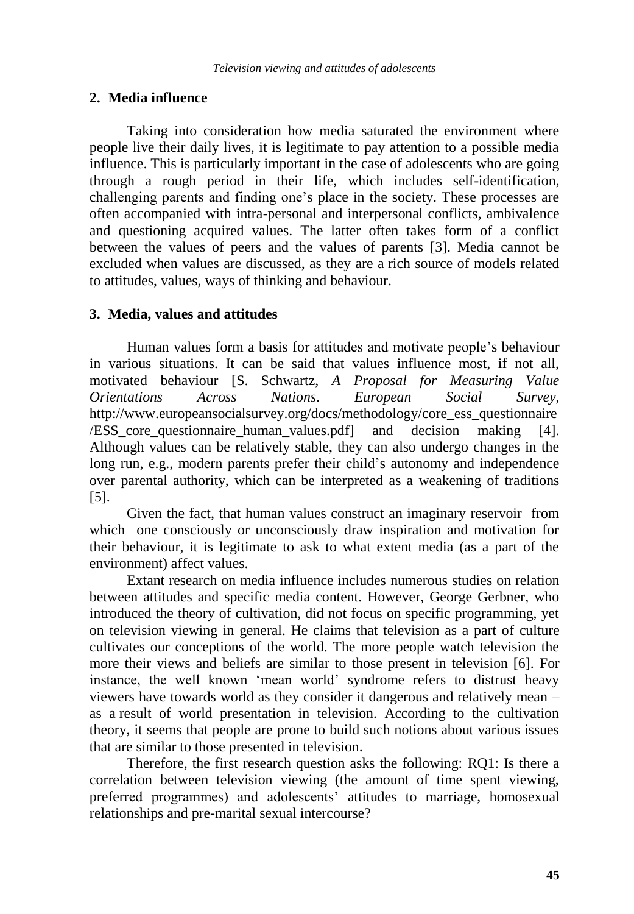## **2. Media influence**

Taking into consideration how media saturated the environment where people live their daily lives, it is legitimate to pay attention to a possible media influence. This is particularly important in the case of adolescents who are going through a rough period in their life, which includes self-identification, challenging parents and finding one's place in the society. These processes are often accompanied with intra-personal and interpersonal conflicts, ambivalence and questioning acquired values. The latter often takes form of a conflict between the values of peers and the values of parents [3]. Media cannot be excluded when values are discussed, as they are a rich source of models related to attitudes, values, ways of thinking and behaviour.

## **3. Media, values and attitudes**

Human values form a basis for attitudes and motivate people's behaviour in various situations. It can be said that values influence most, if not all, motivated behaviour [S. Schwartz, *A Proposal for Measuring Value Orientations Across Nations*. *European Social Survey*, http://www.europeansocialsurvey.org/docs/methodology/core\_ess\_questionnaire /ESS\_core\_questionnaire\_human\_values.pdf] and decision making [4]. Although values can be relatively stable, they can also undergo changes in the long run, e.g., modern parents prefer their child's autonomy and independence over parental authority, which can be interpreted as a weakening of traditions [5].

Given the fact, that human values construct an imaginary reservoir from which one consciously or unconsciously draw inspiration and motivation for their behaviour, it is legitimate to ask to what extent media (as a part of the environment) affect values.

Extant research on media influence includes numerous studies on relation between attitudes and specific media content. However, George Gerbner, who introduced the theory of cultivation, did not focus on specific programming, yet on television viewing in general. He claims that television as a part of culture cultivates our conceptions of the world. The more people watch television the more their views and beliefs are similar to those present in television [6]. For instance, the well known 'mean world' syndrome refers to distrust heavy viewers have towards world as they consider it dangerous and relatively mean – as a result of world presentation in television. According to the cultivation theory, it seems that people are prone to build such notions about various issues that are similar to those presented in television.

Therefore, the first research question asks the following: RQ1: Is there a correlation between television viewing (the amount of time spent viewing, preferred programmes) and adolescents' attitudes to marriage, homosexual relationships and pre-marital sexual intercourse?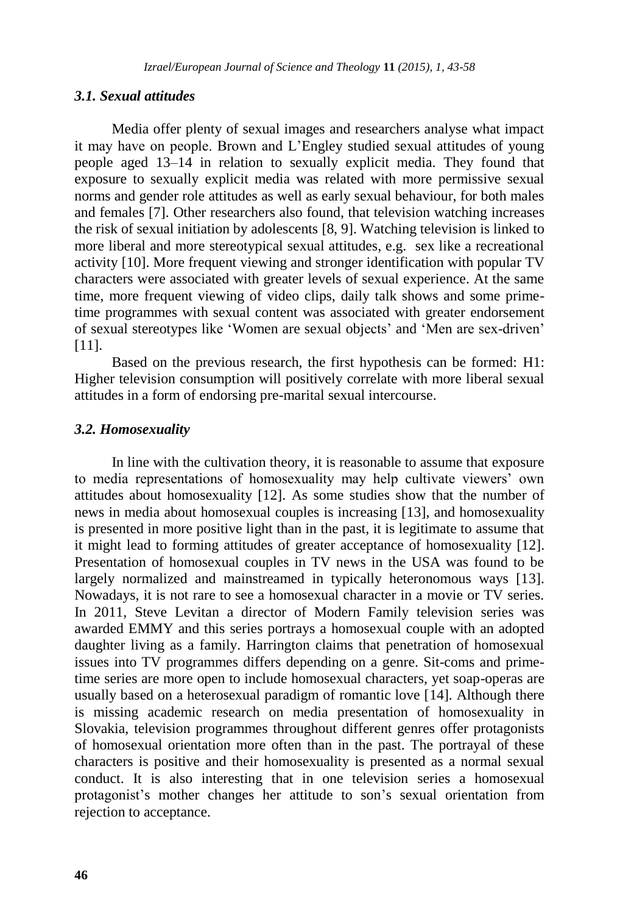#### *3.1. Sexual attitudes*

Media offer plenty of sexual images and researchers analyse what impact it may have on people. Brown and L'Engley studied sexual attitudes of young people aged 13–14 in relation to sexually explicit media. They found that exposure to sexually explicit media was related with more permissive sexual norms and gender role attitudes as well as early sexual behaviour, for both males and females [7]. Other researchers also found, that television watching increases the risk of sexual initiation by adolescents [8, 9]. Watching television is linked to more liberal and more stereotypical sexual attitudes, e.g. sex like a recreational activity [10]. More frequent viewing and stronger identification with popular TV characters were associated with greater levels of sexual experience. At the same time, more frequent viewing of video clips, daily talk shows and some primetime programmes with sexual content was associated with greater endorsement of sexual stereotypes like 'Women are sexual objects' and 'Men are sex-driven' [11].

Based on the previous research, the first hypothesis can be formed: H1: Higher television consumption will positively correlate with more liberal sexual attitudes in a form of endorsing pre-marital sexual intercourse.

#### *3.2. Homosexuality*

In line with the cultivation theory, it is reasonable to assume that exposure to media representations of homosexuality may help cultivate viewers' own attitudes about homosexuality [12]. As some studies show that the number of news in media about homosexual couples is increasing [13], and homosexuality is presented in more positive light than in the past, it is legitimate to assume that it might lead to forming attitudes of greater acceptance of homosexuality [12]. Presentation of homosexual couples in TV news in the USA was found to be largely normalized and mainstreamed in typically heteronomous ways [13]. Nowadays, it is not rare to see a homosexual character in a movie or TV series. In 2011, Steve Levitan a director of Modern Family television series was awarded EMMY and this series portrays a homosexual couple with an adopted daughter living as a family. Harrington claims that penetration of homosexual issues into TV programmes differs depending on a genre. Sit-coms and primetime series are more open to include homosexual characters, yet soap-operas are usually based on a heterosexual paradigm of romantic love [14]. Although there is missing academic research on media presentation of homosexuality in Slovakia, television programmes throughout different genres offer protagonists of homosexual orientation more often than in the past. The portrayal of these characters is positive and their homosexuality is presented as a normal sexual conduct. It is also interesting that in one television series a homosexual protagonist's mother changes her attitude to son's sexual orientation from rejection to acceptance.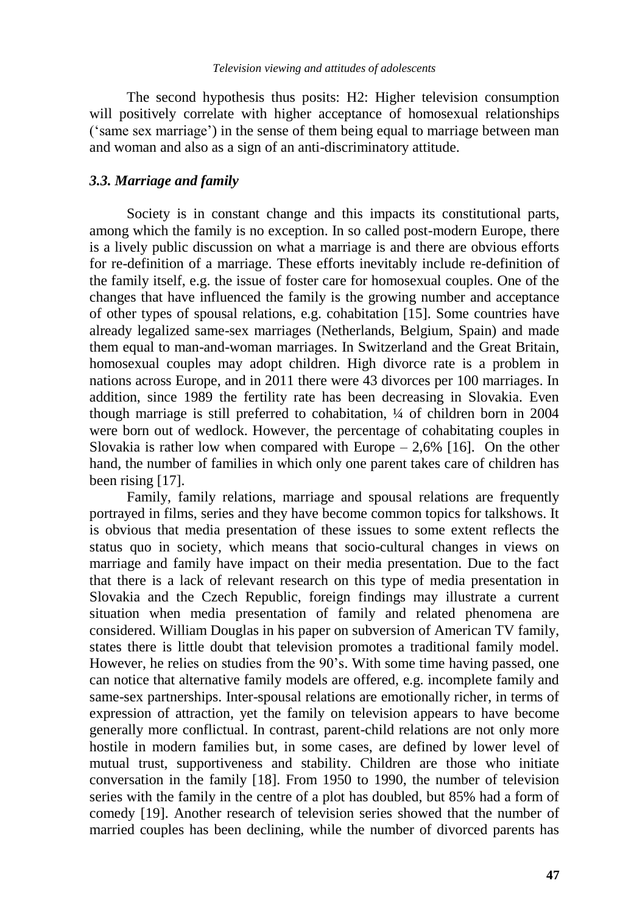The second hypothesis thus posits: H2: Higher television consumption will positively correlate with higher acceptance of homosexual relationships ('same sex marriage') in the sense of them being equal to marriage between man and woman and also as a sign of an anti-discriminatory attitude.

#### *3.3. Marriage and family*

Society is in constant change and this impacts its constitutional parts, among which the family is no exception. In so called post-modern Europe, there is a lively public discussion on what a marriage is and there are obvious efforts for re-definition of a marriage. These efforts inevitably include re-definition of the family itself, e.g. the issue of foster care for homosexual couples. One of the changes that have influenced the family is the growing number and acceptance of other types of spousal relations, e.g. cohabitation [15]. Some countries have already legalized same-sex marriages (Netherlands, Belgium, Spain) and made them equal to man-and-woman marriages. In Switzerland and the Great Britain, homosexual couples may adopt children. High divorce rate is a problem in nations across Europe, and in 2011 there were 43 divorces per 100 marriages. In addition, since 1989 the fertility rate has been decreasing in Slovakia. Even though marriage is still preferred to cohabitation, ¼ of children born in 2004 were born out of wedlock. However, the percentage of cohabitating couples in Slovakia is rather low when compared with Europe  $-2.6\%$  [16]. On the other hand, the number of families in which only one parent takes care of children has been rising [17].

Family, family relations, marriage and spousal relations are frequently portrayed in films, series and they have become common topics for talkshows. It is obvious that media presentation of these issues to some extent reflects the status quo in society, which means that socio-cultural changes in views on marriage and family have impact on their media presentation. Due to the fact that there is a lack of relevant research on this type of media presentation in Slovakia and the Czech Republic, foreign findings may illustrate a current situation when media presentation of family and related phenomena are considered. William Douglas in his paper on subversion of American TV family, states there is little doubt that television promotes a traditional family model. However, he relies on studies from the 90's. With some time having passed, one can notice that alternative family models are offered, e.g. incomplete family and same-sex partnerships. Inter-spousal relations are emotionally richer, in terms of expression of attraction, yet the family on television appears to have become generally more conflictual. In contrast, parent-child relations are not only more hostile in modern families but, in some cases, are defined by lower level of mutual trust, supportiveness and stability. Children are those who initiate conversation in the family [18]. From 1950 to 1990, the number of television series with the family in the centre of a plot has doubled, but 85% had a form of comedy [19]. Another research of television series showed that the number of married couples has been declining, while the number of divorced parents has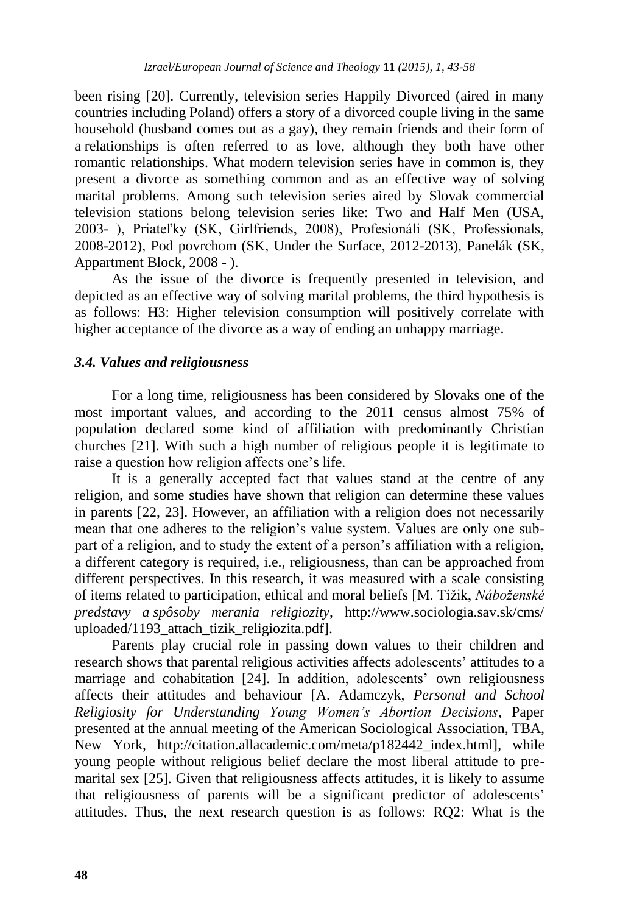been rising [20]. Currently, television series Happily Divorced (aired in many countries including Poland) offers a story of a divorced couple living in the same household (husband comes out as a gay), they remain friends and their form of a relationships is often referred to as love, although they both have other romantic relationships. What modern television series have in common is, they present a divorce as something common and as an effective way of solving marital problems. Among such television series aired by Slovak commercial television stations belong television series like: Two and Half Men (USA, 2003- ), Priateľky (SK, Girlfriends, 2008), Profesionáli (SK, Professionals, 2008-2012), Pod povrchom (SK, Under the Surface, 2012-2013), Panelák (SK, Appartment Block, 2008 - ).

As the issue of the divorce is frequently presented in television, and depicted as an effective way of solving marital problems, the third hypothesis is as follows: H3: Higher television consumption will positively correlate with higher acceptance of the divorce as a way of ending an unhappy marriage.

#### *3.4. Values and religiousness*

For a long time, religiousness has been considered by Slovaks one of the most important values, and according to the 2011 census almost 75% of population declared some kind of affiliation with predominantly Christian churches [21]. With such a high number of religious people it is legitimate to raise a question how religion affects one's life.

It is a generally accepted fact that values stand at the centre of any religion, and some studies have shown that religion can determine these values in parents [22, 23]. However, an affiliation with a religion does not necessarily mean that one adheres to the religion's value system. Values are only one subpart of a religion, and to study the extent of a person's affiliation with a religion, a different category is required, i.e., religiousness, than can be approached from different perspectives. In this research, it was measured with a scale consisting of items related to participation, ethical and moral beliefs [M. Tížik, *Náboženské predstavy a spôsoby merania religiozity*, http://www.sociologia.sav.sk/cms/ uploaded/1193\_attach\_tizik\_religiozita.pdf].

Parents play crucial role in passing down values to their children and research shows that parental religious activities affects adolescents' attitudes to a marriage and cohabitation [24]. In addition, adolescents' own religiousness affects their attitudes and behaviour [A. Adamczyk, *Personal and School Religiosity for Understanding Young Women's Abortion Decisions*, Paper presented at the annual meeting of the American Sociological Association, TBA, New York, http://citation.allacademic.com/meta/p182442\_index.html], while young people without religious belief declare the most liberal attitude to premarital sex [25]. Given that religiousness affects attitudes, it is likely to assume that religiousness of parents will be a significant predictor of adolescents' attitudes. Thus, the next research question is as follows: RQ2: What is the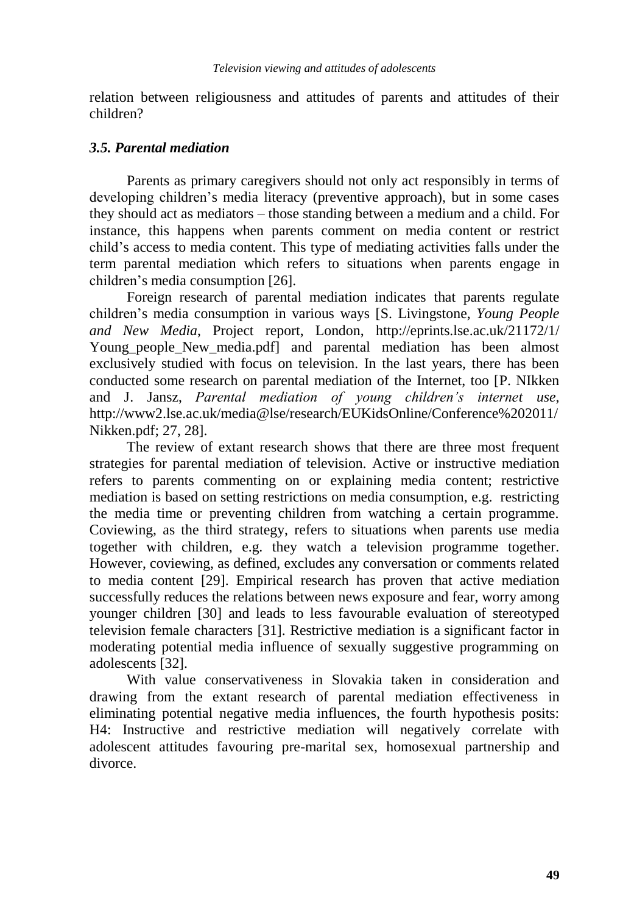relation between religiousness and attitudes of parents and attitudes of their children?

## *3.5. Parental mediation*

Parents as primary caregivers should not only act responsibly in terms of developing children's media literacy (preventive approach), but in some cases they should act as mediators – those standing between a medium and a child. For instance, this happens when parents comment on media content or restrict child's access to media content. This type of mediating activities falls under the term parental mediation which refers to situations when parents engage in children's media consumption [26].

Foreign research of parental mediation indicates that parents regulate children's media consumption in various ways [S. Livingstone, *Young People and New Media*, Project report, London, http://eprints.lse.ac.uk/21172/1/ Young\_people\_New\_media.pdf] and parental mediation has been almost exclusively studied with focus on television. In the last years, there has been conducted some research on parental mediation of the Internet, too [P. NIkken and J. Jansz, *Parental mediation of young children's internet use*, http://www2.lse.ac.uk/media@lse/research/EUKidsOnline/Conference%202011/ Nikken.pdf; 27, 28].

The review of extant research shows that there are three most frequent strategies for parental mediation of television. Active or instructive mediation refers to parents commenting on or explaining media content; restrictive mediation is based on setting restrictions on media consumption, e.g. restricting the media time or preventing children from watching a certain programme. Coviewing, as the third strategy, refers to situations when parents use media together with children, e.g. they watch a television programme together. However, coviewing, as defined, excludes any conversation or comments related to media content [29]. Empirical research has proven that active mediation successfully reduces the relations between news exposure and fear, worry among younger children [30] and leads to less favourable evaluation of stereotyped television female characters [31]. Restrictive mediation is a significant factor in moderating potential media influence of sexually suggestive programming on adolescents [32].

With value conservativeness in Slovakia taken in consideration and drawing from the extant research of parental mediation effectiveness in eliminating potential negative media influences, the fourth hypothesis posits: H4: Instructive and restrictive mediation will negatively correlate with adolescent attitudes favouring pre-marital sex, homosexual partnership and divorce.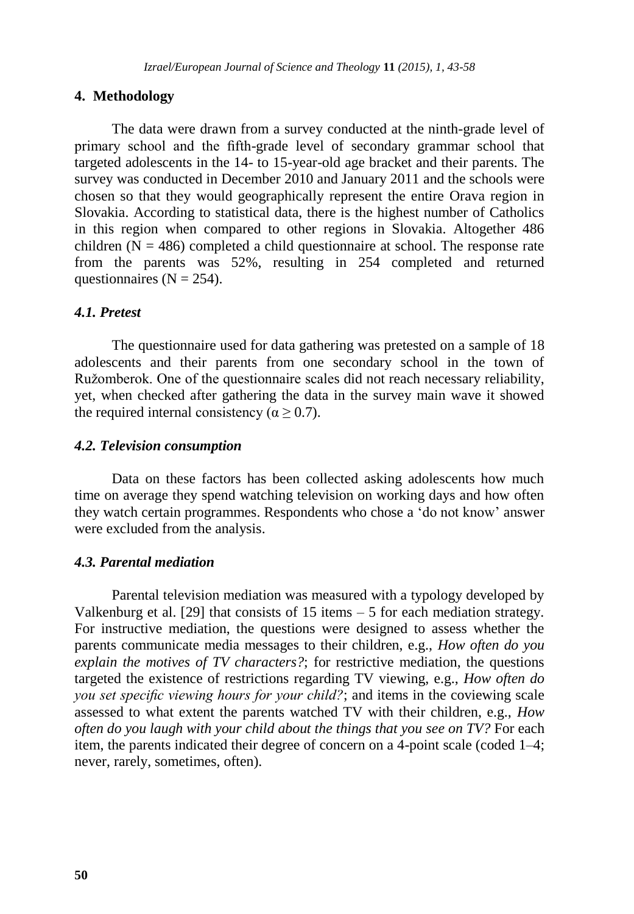#### **4. Methodology**

The data were drawn from a survey conducted at the ninth-grade level of primary school and the fifth-grade level of secondary grammar school that targeted adolescents in the 14- to 15-year-old age bracket and their parents. The survey was conducted in December 2010 and January 2011 and the schools were chosen so that they would geographically represent the entire Orava region in Slovakia. According to statistical data, there is the highest number of Catholics in this region when compared to other regions in Slovakia. Altogether 486 children  $(N = 486)$  completed a child questionnaire at school. The response rate from the parents was 52%, resulting in 254 completed and returned questionnaires ( $N = 254$ ).

#### *4.1. Pretest*

The questionnaire used for data gathering was pretested on a sample of 18 adolescents and their parents from one secondary school in the town of Ružomberok. One of the questionnaire scales did not reach necessary reliability, yet, when checked after gathering the data in the survey main wave it showed the required internal consistency ( $\alpha \ge 0.7$ ).

#### *4.2. Television consumption*

Data on these factors has been collected asking adolescents how much time on average they spend watching television on working days and how often they watch certain programmes. Respondents who chose a 'do not know' answer were excluded from the analysis.

#### *4.3. Parental mediation*

Parental television mediation was measured with a typology developed by Valkenburg et al. [29] that consists of 15 items – 5 for each mediation strategy. For instructive mediation, the questions were designed to assess whether the parents communicate media messages to their children, e.g., *How often do you explain the motives of TV characters?*; for restrictive mediation, the questions targeted the existence of restrictions regarding TV viewing, e.g., *How often do you set specific viewing hours for your child?*; and items in the coviewing scale assessed to what extent the parents watched TV with their children, e.g., *How often do you laugh with your child about the things that you see on TV?* For each item, the parents indicated their degree of concern on a 4-point scale (coded 1–4; never, rarely, sometimes, often).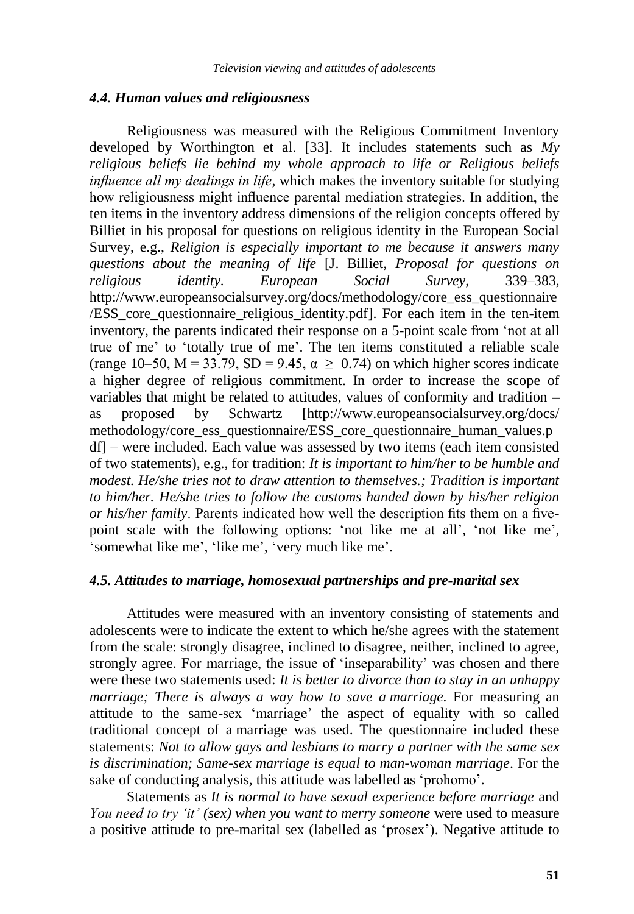#### *4.4. Human values and religiousness*

Religiousness was measured with the Religious Commitment Inventory developed by Worthington et al. [33]. It includes statements such as *My religious beliefs lie behind my whole approach to life or Religious beliefs influence all my dealings in life*, which makes the inventory suitable for studying how religiousness might influence parental mediation strategies. In addition, the ten items in the inventory address dimensions of the religion concepts offered by Billiet in his proposal for questions on religious identity in the European Social Survey, e.g., *Religion is especially important to me because it answers many questions about the meaning of life* [J. Billiet, *Proposal for questions on religious identity. European Social Survey*, 339–383, http://www.europeansocialsurvey.org/docs/methodology/core\_ess\_questionnaire /ESS\_core\_questionnaire\_religious\_identity.pdf]. For each item in the ten-item inventory, the parents indicated their response on a 5-point scale from 'not at all true of me' to 'totally true of me'. The ten items constituted a reliable scale (range 10–50,  $M = 33.79$ ,  $SD = 9.45$ ,  $\alpha \ge 0.74$ ) on which higher scores indicate a higher degree of religious commitment. In order to increase the scope of variables that might be related to attitudes, values of conformity and tradition – as proposed by Schwartz [http://www.europeansocialsurvey.org/docs/ methodology/core\_ess\_questionnaire/ESS\_core\_questionnaire\_human\_values.p df] – were included. Each value was assessed by two items (each item consisted of two statements), e.g., for tradition: *It is important to him/her to be humble and modest. He/she tries not to draw attention to themselves.; Tradition is important to him/her. He/she tries to follow the customs handed down by his/her religion or his/her family*. Parents indicated how well the description fits them on a fivepoint scale with the following options: 'not like me at all', 'not like me', 'somewhat like me', 'like me', 'very much like me'.

#### *4.5. Attitudes to marriage, homosexual partnerships and pre-marital sex*

Attitudes were measured with an inventory consisting of statements and adolescents were to indicate the extent to which he/she agrees with the statement from the scale: strongly disagree, inclined to disagree, neither, inclined to agree, strongly agree. For marriage, the issue of 'inseparability' was chosen and there were these two statements used: *It is better to divorce than to stay in an unhappy marriage; There is always a way how to save a marriage.* For measuring an attitude to the same-sex 'marriage' the aspect of equality with so called traditional concept of a marriage was used. The questionnaire included these statements: *Not to allow gays and lesbians to marry a partner with the same sex is discrimination; Same-sex marriage is equal to man-woman marriage*. For the sake of conducting analysis, this attitude was labelled as 'prohomo'.

Statements as *It is normal to have sexual experience before marriage* and *You need to try 'it' (sex) when you want to merry someone* were used to measure a positive attitude to pre-marital sex (labelled as 'prosex'). Negative attitude to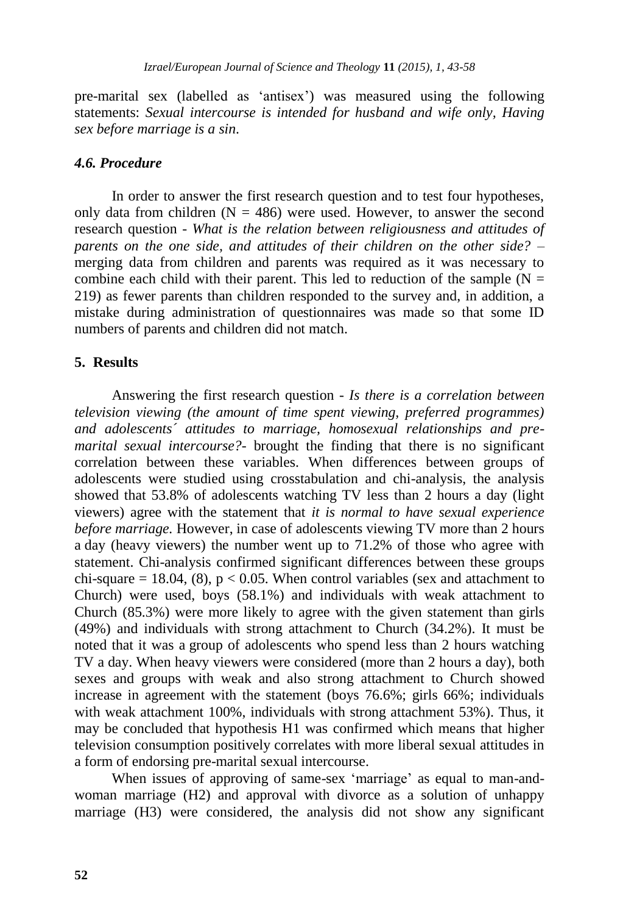pre-marital sex (labelled as 'antisex') was measured using the following statements: *Sexual intercourse is intended for husband and wife only, Having sex before marriage is a sin*.

#### *4.6. Procedure*

In order to answer the first research question and to test four hypotheses, only data from children  $(N = 486)$  were used. However, to answer the second research question - *What is the relation between religiousness and attitudes of parents on the one side, and attitudes of their children on the other side? –* merging data from children and parents was required as it was necessary to combine each child with their parent. This led to reduction of the sample ( $N =$ 219) as fewer parents than children responded to the survey and, in addition, a mistake during administration of questionnaires was made so that some ID numbers of parents and children did not match.

#### **5. Results**

Answering the first research question *- Is there is a correlation between television viewing (the amount of time spent viewing, preferred programmes) and adolescents´ attitudes to marriage, homosexual relationships and premarital sexual intercourse?-* brought the finding that there is no significant correlation between these variables. When differences between groups of adolescents were studied using crosstabulation and chi-analysis, the analysis showed that 53.8% of adolescents watching TV less than 2 hours a day (light viewers) agree with the statement that *it is normal to have sexual experience before marriage.* However, in case of adolescents viewing TV more than 2 hours a day (heavy viewers) the number went up to 71.2% of those who agree with statement. Chi-analysis confirmed significant differences between these groups chi-square = 18.04, (8),  $p < 0.05$ . When control variables (sex and attachment to Church) were used, boys (58.1%) and individuals with weak attachment to Church (85.3%) were more likely to agree with the given statement than girls (49%) and individuals with strong attachment to Church (34.2%). It must be noted that it was a group of adolescents who spend less than 2 hours watching TV a day. When heavy viewers were considered (more than 2 hours a day), both sexes and groups with weak and also strong attachment to Church showed increase in agreement with the statement (boys 76.6%; girls 66%; individuals with weak attachment 100%, individuals with strong attachment 53%). Thus, it may be concluded that hypothesis H1 was confirmed which means that higher television consumption positively correlates with more liberal sexual attitudes in a form of endorsing pre-marital sexual intercourse.

When issues of approving of same-sex 'marriage' as equal to man-andwoman marriage (H2) and approval with divorce as a solution of unhappy marriage (H3) were considered, the analysis did not show any significant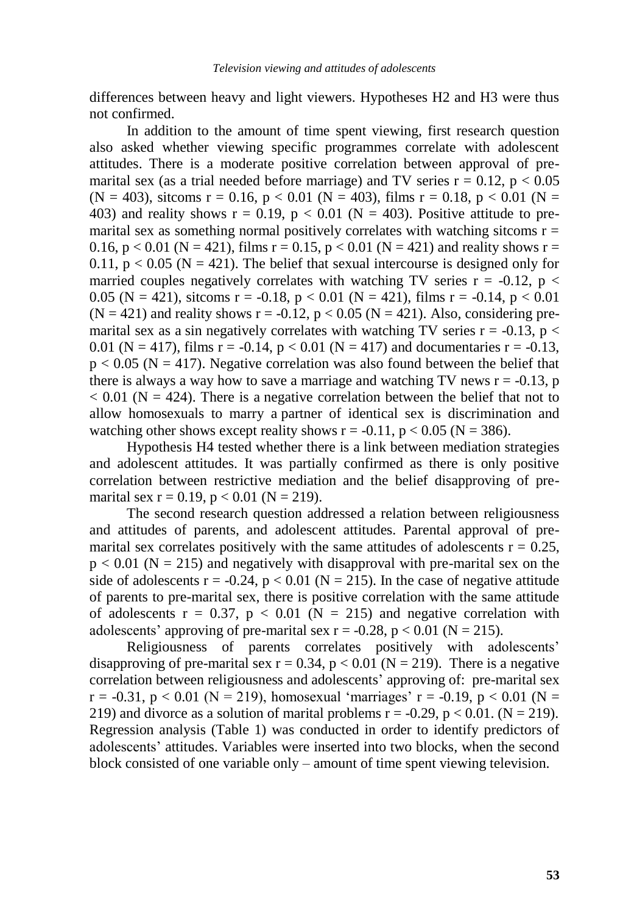differences between heavy and light viewers. Hypotheses H2 and H3 were thus not confirmed.

In addition to the amount of time spent viewing, first research question also asked whether viewing specific programmes correlate with adolescent attitudes. There is a moderate positive correlation between approval of premarital sex (as a trial needed before marriage) and TV series  $r = 0.12$ ,  $p < 0.05$  $(N = 403)$ , sitcoms  $r = 0.16$ ,  $p < 0.01$   $(N = 403)$ , films  $r = 0.18$ ,  $p < 0.01$   $(N = 100)$ 403) and reality shows  $r = 0.19$ ,  $p < 0.01$  (N = 403). Positive attitude to premarital sex as something normal positively correlates with watching sitcoms  $r =$ 0.16, p < 0.01 (N = 421), films r = 0.15, p < 0.01 (N = 421) and reality shows r = 0.11,  $p < 0.05$  (N = 421). The belief that sexual intercourse is designed only for married couples negatively correlates with watching TV series  $r = -0.12$ ,  $p <$ 0.05 (N = 421), sitcoms r = -0.18, p < 0.01 (N = 421), films r = -0.14, p < 0.01  $(N = 421)$  and reality shows  $r = -0.12$ ,  $p < 0.05$   $(N = 421)$ . Also, considering premarital sex as a sin negatively correlates with watching TV series  $r = -0.13$ , p < 0.01 (N = 417), films  $r = -0.14$ ,  $p < 0.01$  (N = 417) and documentaries  $r = -0.13$ ,  $p < 0.05$  (N = 417). Negative correlation was also found between the belief that there is always a way how to save a marriage and watching TV news  $r = -0.13$ , p  $< 0.01$  (N = 424). There is a negative correlation between the belief that not to allow homosexuals to marry a partner of identical sex is discrimination and watching other shows except reality shows  $r = -0.11$ ,  $p < 0.05$  (N = 386).

Hypothesis H4 tested whether there is a link between mediation strategies and adolescent attitudes. It was partially confirmed as there is only positive correlation between restrictive mediation and the belief disapproving of premarital sex  $r = 0.19$ ,  $p < 0.01$  (N = 219).

The second research question addressed a relation between religiousness and attitudes of parents, and adolescent attitudes. Parental approval of premarital sex correlates positively with the same attitudes of adolescents  $r = 0.25$ ,  $p < 0.01$  (N = 215) and negatively with disapproval with pre-marital sex on the side of adolescents  $r = -0.24$ ,  $p < 0.01$  (N = 215). In the case of negative attitude of parents to pre-marital sex, there is positive correlation with the same attitude of adolescents  $r = 0.37$ ,  $p < 0.01$  (N = 215) and negative correlation with adolescents' approving of pre-marital sex  $r = -0.28$ ,  $p < 0.01$  (N = 215).

Religiousness of parents correlates positively with adolescents' disapproving of pre-marital sex  $r = 0.34$ ,  $p < 0.01$  (N = 219). There is a negative correlation between religiousness and adolescents' approving of: pre-marital sex  $r = -0.31$ ,  $p < 0.01$  (N = 219), homosexual 'marriages'  $r = -0.19$ ,  $p < 0.01$  (N = 219) and divorce as a solution of marital problems  $r = -0.29$ ,  $p < 0.01$ . (N = 219). Regression analysis (Table 1) was conducted in order to identify predictors of adolescents' attitudes. Variables were inserted into two blocks, when the second block consisted of one variable only – amount of time spent viewing television.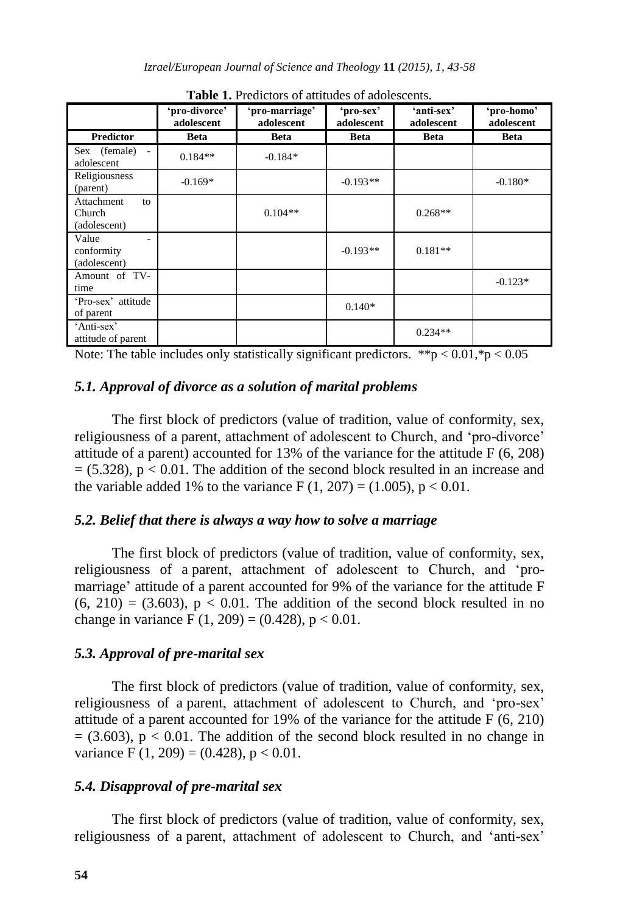|                                            | 'pro-divorce'<br>adolescent | 'pro-marriage'<br>adolescent | 'pro-sex'<br>adolescent | 'anti-sex'<br>adolescent | 'pro-homo'<br>adolescent |
|--------------------------------------------|-----------------------------|------------------------------|-------------------------|--------------------------|--------------------------|
| <b>Predictor</b>                           | <b>Beta</b>                 | <b>Beta</b>                  | <b>Beta</b>             | <b>Beta</b>              | <b>Beta</b>              |
| Sex (female) -<br>adolescent               | $0.184**$                   | $-0.184*$                    |                         |                          |                          |
| Religiousness<br>(parent)                  | $-0.169*$                   |                              | $-0.193**$              |                          | $-0.180*$                |
| Attachment<br>to<br>Church<br>(adolescent) |                             | $0.104**$                    |                         | $0.268**$                |                          |
| Value<br>conformity<br>(adolescent)        |                             |                              | $-0.193**$              | $0.181**$                |                          |
| Amount of TV-<br>time                      |                             |                              |                         |                          | $-0.123*$                |
| 'Pro-sex' attitude<br>of parent            |                             |                              | $0.140*$                |                          |                          |
| 'Anti-sex'<br>attitude of parent           |                             |                              |                         | $0.234**$                |                          |

**Table 1.** Predictors of attitudes of adolescents.

Note: The table includes only statistically significant predictors.  $**p < 0.01.*p < 0.05$ 

#### *5.1. Approval of divorce as a solution of marital problems*

The first block of predictors (value of tradition, value of conformity, sex, religiousness of a parent, attachment of adolescent to Church, and 'pro-divorce' attitude of a parent) accounted for 13% of the variance for the attitude F (6, 208)  $= (5.328)$ ,  $p < 0.01$ . The addition of the second block resulted in an increase and the variable added 1% to the variance  $F(1, 207) = (1.005)$ , p < 0.01.

#### *5.2. Belief that there is always a way how to solve a marriage*

The first block of predictors (value of tradition, value of conformity, sex, religiousness of a parent, attachment of adolescent to Church, and 'promarriage' attitude of a parent accounted for 9% of the variance for the attitude F  $(6, 210) = (3.603)$ ,  $p < 0.01$ . The addition of the second block resulted in no change in variance F  $(1, 209) = (0.428)$ , p < 0.01.

#### *5.3. Approval of pre-marital sex*

The first block of predictors (value of tradition, value of conformity, sex, religiousness of a parent, attachment of adolescent to Church, and 'pro-sex' attitude of a parent accounted for 19% of the variance for the attitude F (6, 210)  $= (3.603)$ ,  $p < 0.01$ . The addition of the second block resulted in no change in variance F  $(1, 209) = (0.428)$ , p < 0.01.

## *5.4. Disapproval of pre-marital sex*

The first block of predictors (value of tradition, value of conformity, sex, religiousness of a parent, attachment of adolescent to Church, and 'anti-sex'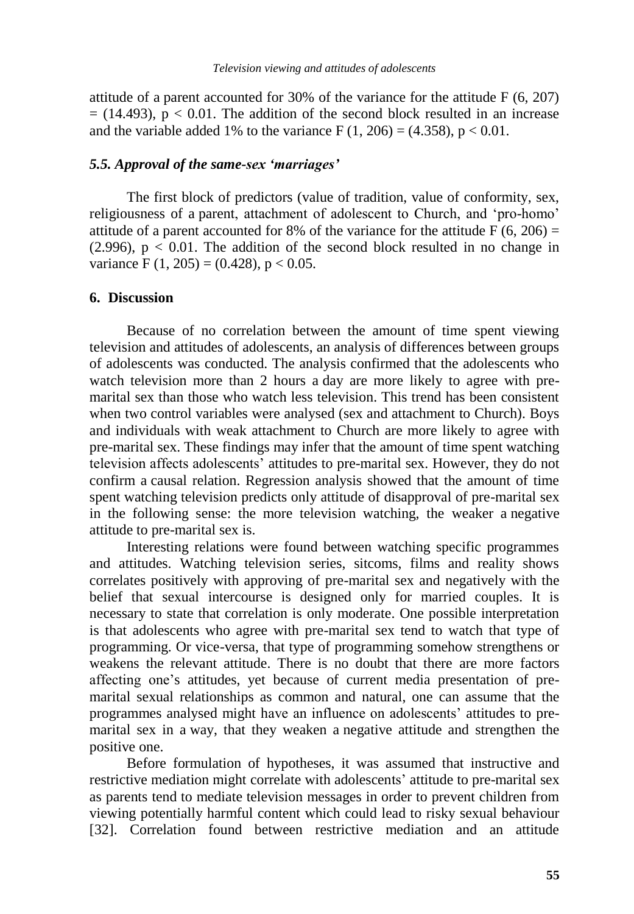attitude of a parent accounted for 30% of the variance for the attitude F (6, 207)  $= (14.493)$ ,  $p < 0.01$ . The addition of the second block resulted in an increase and the variable added 1% to the variance  $F(1, 206) = (4.358)$ , p < 0.01.

#### *5.5. Approval of the same-sex 'marriages'*

The first block of predictors (value of tradition, value of conformity, sex, religiousness of a parent, attachment of adolescent to Church, and 'pro-homo' attitude of a parent accounted for 8% of the variance for the attitude  $F(6, 206) =$  $(2.996)$ ,  $p < 0.01$ . The addition of the second block resulted in no change in variance F  $(1, 205) = (0.428)$ , p  $< 0.05$ .

#### **6. Discussion**

Because of no correlation between the amount of time spent viewing television and attitudes of adolescents, an analysis of differences between groups of adolescents was conducted. The analysis confirmed that the adolescents who watch television more than 2 hours a day are more likely to agree with premarital sex than those who watch less television. This trend has been consistent when two control variables were analysed (sex and attachment to Church). Boys and individuals with weak attachment to Church are more likely to agree with pre-marital sex. These findings may infer that the amount of time spent watching television affects adolescents' attitudes to pre-marital sex. However, they do not confirm a causal relation. Regression analysis showed that the amount of time spent watching television predicts only attitude of disapproval of pre-marital sex in the following sense: the more television watching, the weaker a negative attitude to pre-marital sex is.

Interesting relations were found between watching specific programmes and attitudes. Watching television series, sitcoms, films and reality shows correlates positively with approving of pre-marital sex and negatively with the belief that sexual intercourse is designed only for married couples. It is necessary to state that correlation is only moderate. One possible interpretation is that adolescents who agree with pre-marital sex tend to watch that type of programming. Or vice-versa, that type of programming somehow strengthens or weakens the relevant attitude. There is no doubt that there are more factors affecting one's attitudes, yet because of current media presentation of premarital sexual relationships as common and natural, one can assume that the programmes analysed might have an influence on adolescents' attitudes to premarital sex in a way, that they weaken a negative attitude and strengthen the positive one.

Before formulation of hypotheses, it was assumed that instructive and restrictive mediation might correlate with adolescents' attitude to pre-marital sex as parents tend to mediate television messages in order to prevent children from viewing potentially harmful content which could lead to risky sexual behaviour [32]. Correlation found between restrictive mediation and an attitude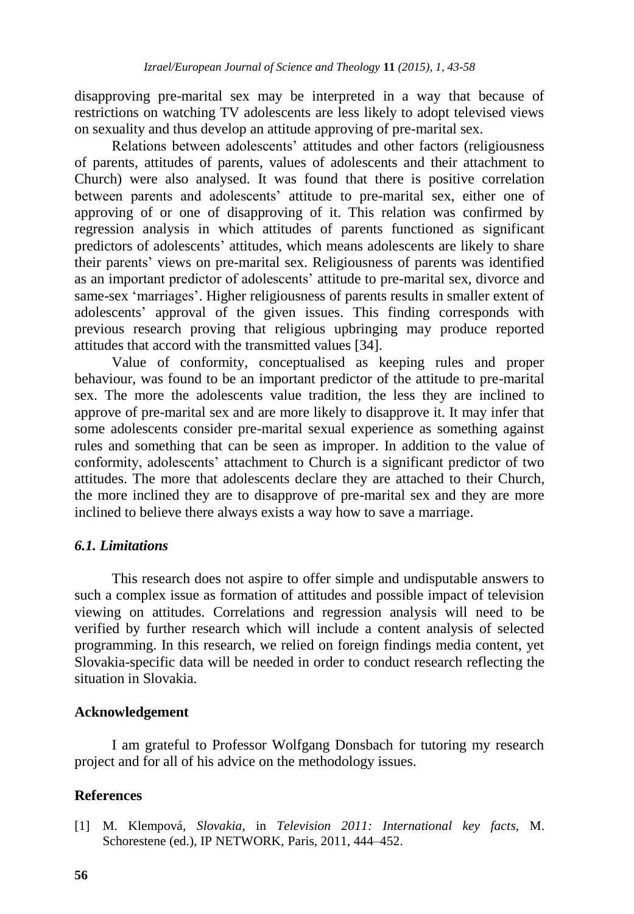disapproving pre-marital sex may be interpreted in a way that because of restrictions on watching TV adolescents are less likely to adopt televised views on sexuality and thus develop an attitude approving of pre-marital sex.

Relations between adolescents' attitudes and other factors (religiousness of parents, attitudes of parents, values of adolescents and their attachment to Church) were also analysed. It was found that there is positive correlation between parents and adolescents' attitude to pre-marital sex, either one of approving of or one of disapproving of it. This relation was confirmed by regression analysis in which attitudes of parents functioned as significant predictors of adolescents' attitudes, which means adolescents are likely to share their parents' views on pre-marital sex. Religiousness of parents was identified as an important predictor of adolescents' attitude to pre-marital sex, divorce and same-sex 'marriages'. Higher religiousness of parents results in smaller extent of adolescents' approval of the given issues. This finding corresponds with previous research proving that religious upbringing may produce reported attitudes that accord with the transmitted values [34].

Value of conformity, conceptualised as keeping rules and proper behaviour, was found to be an important predictor of the attitude to pre-marital sex. The more the adolescents value tradition, the less they are inclined to approve of pre-marital sex and are more likely to disapprove it. It may infer that some adolescents consider pre-marital sexual experience as something against rules and something that can be seen as improper. In addition to the value of conformity, adolescents' attachment to Church is a significant predictor of two attitudes. The more that adolescents declare they are attached to their Church, the more inclined they are to disapprove of pre-marital sex and they are more inclined to believe there always exists a way how to save a marriage.

#### *6.1. Limitations*

This research does not aspire to offer simple and undisputable answers to such a complex issue as formation of attitudes and possible impact of television viewing on attitudes. Correlations and regression analysis will need to be verified by further research which will include a content analysis of selected programming. In this research, we relied on foreign findings media content, yet Slovakia-specific data will be needed in order to conduct research reflecting the situation in Slovakia.

#### **Acknowledgement**

I am grateful to Professor Wolfgang Donsbach for tutoring my research project and for all of his advice on the methodology issues.

### **References**

[1] M. Klempová, *Slovakia*, in *Television 2011: International key facts*, M. Schorestene (ed.), IP NETWORK, Paris, 2011, 444–452.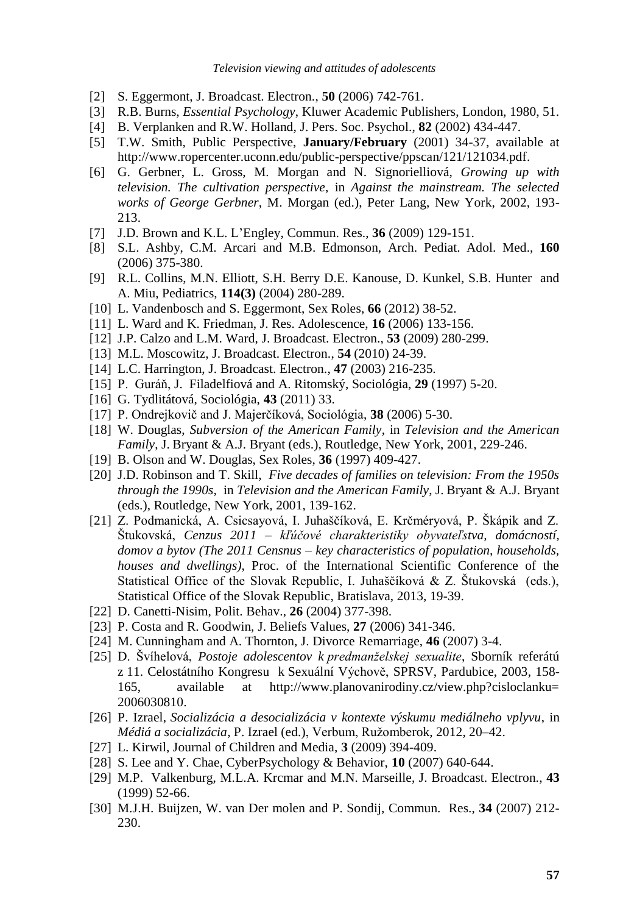- [2] S. Eggermont, J. Broadcast. Electron., **50** (2006) 742-761.
- [3] R.B. Burns, *Essential Psychology*, Kluwer Academic Publishers, London, 1980, 51.
- [4] B. Verplanken and R.W. Holland, J. Pers. Soc. Psychol., **82** (2002) 434-447.
- [5] T.W. Smith, Public Perspective, **January/February** (2001) 34-37, available at [http://www.ropercenter.uconn.edu/public-perspective/ppscan/121/121034.pdf.](http://www.ropercenter.uconn.edu/public-perspective/ppscan/121/121034.pdf)
- [6] G. Gerbner, L. Gross, M. Morgan and N. Signorielliová, *Growing up with television. The cultivation perspective*, in *Against the mainstream. The selected works of George Gerbner*, M. Morgan (ed.), Peter Lang, New York, 2002, 193- 213.
- [7] J.D. Brown and K.L. L'Engley, Commun. Res., **36** (2009) 129-151.
- [8] S.L. Ashby, C.M. Arcari and M.B. Edmonson, Arch. Pediat. Adol. Med., **160** (2006) 375-380.
- [9] R.L. Collins, M.N. Elliott, S.H. Berry D.E. Kanouse, D. Kunkel, S.B. Hunter and A. Miu, Pediatrics, **114(3)** (2004) 280-289.
- [10] L. Vandenbosch and S. Eggermont, Sex Roles, **66** (2012) 38-52.
- [11] L. Ward and K. Friedman, J. Res. Adolescence, **16** (2006) 133-156.
- [12] J.P. Calzo and L.M. Ward, J. Broadcast. Electron., **53** (2009) 280-299.
- [13] M.L. Moscowitz, J. Broadcast. Electron., **54** (2010) 24-39.
- [14] L.C. Harrington, J. Broadcast. Electron., **47** (2003) 216-235.
- [15] P. Guráň, J. Filadelfiová and A. Ritomský, Sociológia, **29** (1997) 5-20.
- [16] G. Tydlitátová, Sociológia, **43** (2011) 33.
- [17] P. Ondrejkovič and J. Majerčíková, Sociológia, **38** (2006) 5-30.
- [18] W. Douglas, *Subversion of the American Family*, in *Television and the American Family*, J. Bryant & A.J. Bryant (eds.), Routledge, New York, 2001, 229-246.
- [19] B. Olson and W. Douglas, Sex Roles, **36** (1997) 409-427.
- [20] J.D. Robinson and T. Skill, *Five decades of families on television: From the 1950s through the 1990s*, in *Television and the American Family*, J. Bryant & A.J. Bryant (eds.), Routledge, New York, 2001, 139-162.
- [21] Z. Podmanická, A. Csicsayová, I. Juhaščíková, E. Krčméryová, P. Škápik and Z. Štukovská, *Cenzus 2011 – kľúčové charakteristiky obyvateľstva, domácností, domov a bytov (The 2011 Censnus – key characteristics of population, households, houses and dwellings)*, Proc. of the International Scientific Conference of the Statistical Office of the Slovak Republic, I. Juhaščíková & Z. Štukovská (eds.), Statistical Office of the Slovak Republic, Bratislava, 2013, 19-39.
- [22] D. Canetti-Nisim, Polit. Behav., **26** (2004) 377-398.
- [23] P. Costa and R. Goodwin, J. Beliefs Values, **27** (2006) 341-346.
- [24] M. Cunningham and A. Thornton, J. Divorce Remarriage, **46** (2007) 3-4.
- [25] D. Švíhelová, *Postoje adolescentov k predmanželskej sexualite*, Sborník referátú z 11. Celostátního Kongresu k Sexuální Výchově, SPRSV, Pardubice, 2003, 158- 165, available at http://www.planovanirodiny.cz/view.php?cisloclanku= 2006030810.
- [26] P. Izrael, *Socializácia a desocializácia v kontexte výskumu mediálneho vplyvu*, in *Médiá a socializácia*, P. Izrael (ed.), Verbum, Ružomberok, 2012, 20–42.
- [27] L. Kirwil, Journal of Children and Media, **3** (2009) 394-409.
- [28] S. Lee and Y. Chae, CyberPsychology & Behavior, **10** (2007) 640-644.
- [29] M.P. [Valkenburg,](http://findarticles.com/p/search/?qa=Patti%20M.%20Valkenburg) M.L.A. [Krcmar](http://findarticles.com/p/search/?qa=Marina%20Krcmar) and M.N. [Marseille,](http://findarticles.com/p/search/?qa=Nies%20M.%20Marseille) J. Broadcast. Electron., **43** (1999) 52-66.
- [30] M.J.H. Buijzen, W. van Der molen and P. Sondij, Commun. Res., **34** (2007) 212- 230.